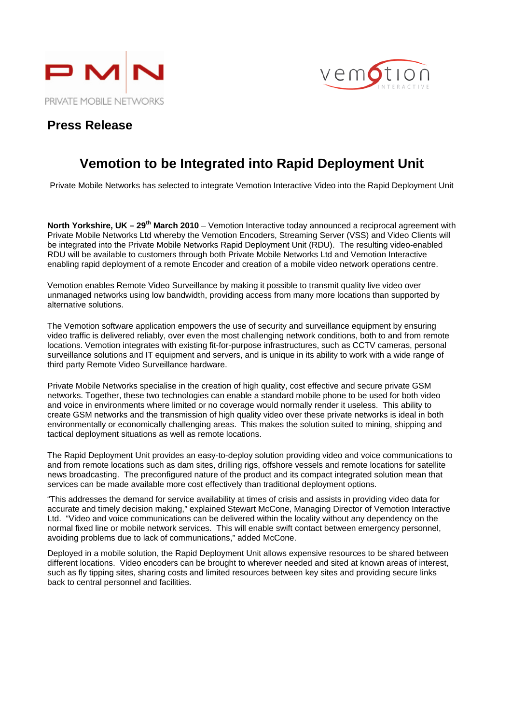



### **Press Release**

# **Vemotion to be Integrated into Rapid Deployment Unit**

Private Mobile Networks has selected to integrate Vemotion Interactive Video into the Rapid Deployment Unit

**North Yorkshire, UK – 29th March 2010** – Vemotion Interactive today announced a reciprocal agreement with Private Mobile Networks Ltd whereby the Vemotion Encoders, Streaming Server (VSS) and Video Clients will be integrated into the Private Mobile Networks Rapid Deployment Unit (RDU). The resulting video-enabled RDU will be available to customers through both Private Mobile Networks Ltd and Vemotion Interactive enabling rapid deployment of a remote Encoder and creation of a mobile video network operations centre.

Vemotion enables Remote Video Surveillance by making it possible to transmit quality live video over unmanaged networks using low bandwidth, providing access from many more locations than supported by alternative solutions.

The Vemotion software application empowers the use of security and surveillance equipment by ensuring video traffic is delivered reliably, over even the most challenging network conditions, both to and from remote locations. Vemotion integrates with existing fit-for-purpose infrastructures, such as CCTV cameras, personal surveillance solutions and IT equipment and servers, and is unique in its ability to work with a wide range of third party Remote Video Surveillance hardware.

Private Mobile Networks specialise in the creation of high quality, cost effective and secure private GSM networks. Together, these two technologies can enable a standard mobile phone to be used for both video and voice in environments where limited or no coverage would normally render it useless. This ability to create GSM networks and the transmission of high quality video over these private networks is ideal in both environmentally or economically challenging areas. This makes the solution suited to mining, shipping and tactical deployment situations as well as remote locations.

The Rapid Deployment Unit provides an easy-to-deploy solution providing video and voice communications to and from remote locations such as dam sites, drilling rigs, offshore vessels and remote locations for satellite news broadcasting. The preconfigured nature of the product and its compact integrated solution mean that services can be made available more cost effectively than traditional deployment options.

"This addresses the demand for service availability at times of crisis and assists in providing video data for accurate and timely decision making," explained Stewart McCone, Managing Director of Vemotion Interactive Ltd. "Video and voice communications can be delivered within the locality without any dependency on the normal fixed line or mobile network services. This will enable swift contact between emergency personnel, avoiding problems due to lack of communications," added McCone.

Deployed in a mobile solution, the Rapid Deployment Unit allows expensive resources to be shared between different locations. Video encoders can be brought to wherever needed and sited at known areas of interest, such as fly tipping sites, sharing costs and limited resources between key sites and providing secure links back to central personnel and facilities.